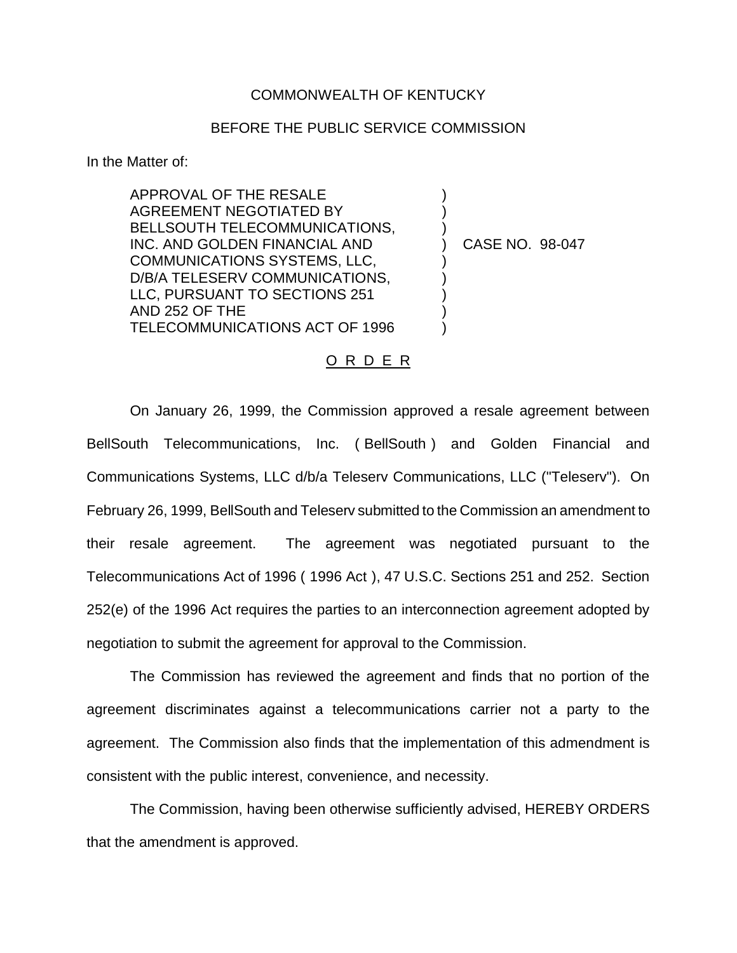## COMMONWEALTH OF KENTUCKY

## BEFORE THE PUBLIC SERVICE COMMISSION

) ) )

) ) ) ) )

In the Matter of:

APPROVAL OF THE RESALE AGREEMENT NEGOTIATED BY BELLSOUTH TELECOMMUNICATIONS, INC. AND GOLDEN FINANCIAL AND COMMUNICATIONS SYSTEMS, LLC, D/B/A TELESERV COMMUNICATIONS, LLC, PURSUANT TO SECTIONS 251 AND 252 OF THE TELECOMMUNICATIONS ACT OF 1996

) CASE NO. 98-047

## O R D E R

On January 26, 1999, the Commission approved a resale agreement between BellSouth Telecommunications, Inc. ( BellSouth ) and Golden Financial and Communications Systems, LLC d/b/a Teleserv Communications, LLC ("Teleserv"). On February 26, 1999, BellSouth and Teleserv submitted to the Commission an amendment to their resale agreement. The agreement was negotiated pursuant to the Telecommunications Act of 1996 ( 1996 Act ), 47 U.S.C. Sections 251 and 252. Section 252(e) of the 1996 Act requires the parties to an interconnection agreement adopted by negotiation to submit the agreement for approval to the Commission.

The Commission has reviewed the agreement and finds that no portion of the agreement discriminates against a telecommunications carrier not a party to the agreement. The Commission also finds that the implementation of this admendment is consistent with the public interest, convenience, and necessity.

The Commission, having been otherwise sufficiently advised, HEREBY ORDERS that the amendment is approved.